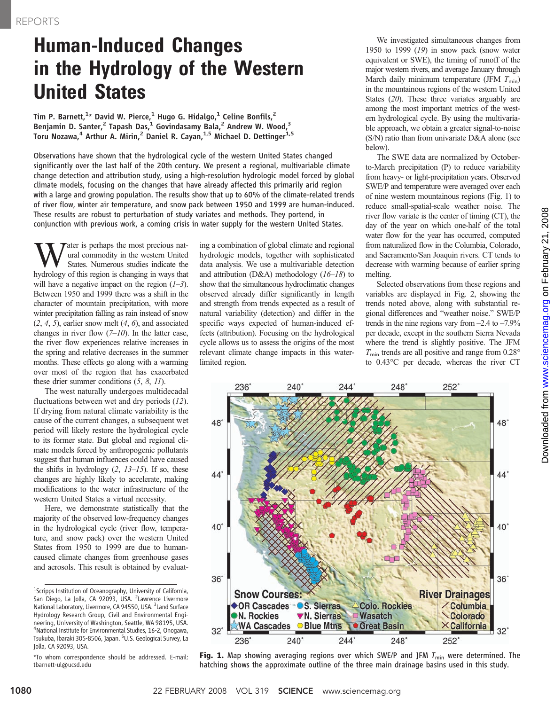## Human-Induced Changes in the Hydrology of the Western United States

Tim P. Barnett, $^{1\star}$  David W. Pierce, $^{1}$  Hugo G. Hidalgo, $^{1}$  Celine Bonfils, $^{2}$ Benjamin D. Santer,<sup>2</sup> Tapash Das,<sup>1</sup> Govindasamy Bala,<sup>2</sup> Andrew W. Wood,<sup>3</sup> Toru Nozawa,<sup>4</sup> Arthur A. Mirin,<sup>2</sup> Daniel R. Cayan,<sup>1,5</sup> Michael D. Dettinger<sup>1,5</sup>

Observations have shown that the hydrological cycle of the western United States changed significantly over the last half of the 20th century. We present a regional, multivariable climate change detection and attribution study, using a high-resolution hydrologic model forced by global climate models, focusing on the changes that have already affected this primarily arid region with a large and growing population. The results show that up to 60% of the climate-related trends of river flow, winter air temperature, and snow pack between 1950 and 1999 are human-induced. These results are robust to perturbation of study variates and methods. They portend, in conjunction with previous work, a coming crisis in water supply for the western United States.

ater is perhaps the most precious natural commodity in the western United States. Numerous studies indicate the hydrology of this region is changing in ways that will have a negative impact on the region  $(1-3)$ . Between 1950 and 1999 there was a shift in the character of mountain precipitation, with more winter precipitation falling as rain instead of snow  $(2, 4, 5)$ , earlier snow melt  $(4, 6)$ , and associated changes in river flow  $(7-10)$ . In the latter case, the river flow experiences relative increases in the spring and relative decreases in the summer months. These effects go along with a warming over most of the region that has exacerbated these drier summer conditions (5, 8, 11).

The west naturally undergoes multidecadal fluctuations between wet and dry periods (12). If drying from natural climate variability is the cause of the current changes, a subsequent wet period will likely restore the hydrological cycle to its former state. But global and regional climate models forced by anthropogenic pollutants suggest that human influences could have caused the shifts in hydrology  $(2, 13-15)$ . If so, these changes are highly likely to accelerate, making modifications to the water infrastructure of the western United States a virtual necessity.

Here, we demonstrate statistically that the majority of the observed low-frequency changes in the hydrological cycle (river flow, temperature, and snow pack) over the western United States from 1950 to 1999 are due to humancaused climate changes from greenhouse gases and aerosols. This result is obtained by evaluating a combination of global climate and regional hydrologic models, together with sophisticated data analysis. We use a multivariable detection and attribution (D&A) methodology  $(16–18)$  to show that the simultaneous hydroclimatic changes observed already differ significantly in length and strength from trends expected as a result of natural variability (detection) and differ in the specific ways expected of human-induced effects (attribution). Focusing on the hydrological cycle allows us to assess the origins of the most relevant climate change impacts in this waterlimited region.

We investigated simultaneous changes from 1950 to 1999 (19) in snow pack (snow water equivalent or SWE), the timing of runoff of the major western rivers, and average January through March daily minimum temperature (JFM  $T_{\text{min}}$ ) in the mountainous regions of the western United States (20). These three variates arguably are among the most important metrics of the western hydrological cycle. By using the multivariable approach, we obtain a greater signal-to-noise (S/N) ratio than from univariate D&A alone (see below).

The SWE data are normalized by Octoberto-March precipitation (P) to reduce variability from heavy- or light-precipitation years. Observed SWE/P and temperature were averaged over each of nine western mountainous regions (Fig. 1) to reduce small-spatial-scale weather noise. The river flow variate is the center of timing (CT), the day of the year on which one-half of the total water flow for the year has occurred, computed from naturalized flow in the Columbia, Colorado, and Sacramento/San Joaquin rivers. CT tends to decrease with warming because of earlier spring melting.

Selected observations from these regions and variables are displayed in Fig. 2, showing the trends noted above, along with substantial regional differences and "weather noise." SWE/P trends in the nine regions vary from  $-2.4$  to  $-7.9\%$ per decade, except in the southern Sierra Nevada where the trend is slightly positive. The JFM  $T_{\text{min}}$  trends are all positive and range from 0.28° to 0.43°C per decade, whereas the river CT



www.sciencemag.orgon February 21, 2008 Downloaded from www.sciencemag.org on February 21, 2008 Downloaded from

Fig. 1. Map showing averaging regions over which SWE/P and JFM  $T_{\text{min}}$  were determined. The hatching shows the approximate outline of the three main drainage basins used in this study.

<sup>&</sup>lt;sup>1</sup>Scripps Institution of Oceanography, University of California, San Diego, La Jolla, CA 92093, USA. <sup>2</sup>Lawrence Livermore National Laboratory, Livermore, CA 94550, USA. <sup>3</sup> Land Surface Hydrology Research Group, Civil and Environmental Engineering, University of Washington, Seattle, WA 98195, USA. 4 National Institute for Environmental Studies, 16-2, Onogawa, Tsukuba, Ibaraki 305-8506, Japan. <sup>5</sup>U.S. Geological Survey, La Jolla, CA 92093, USA.

<sup>\*</sup>To whom correspondence should be addressed. E-mail: tbarnett-ul@ucsd.edu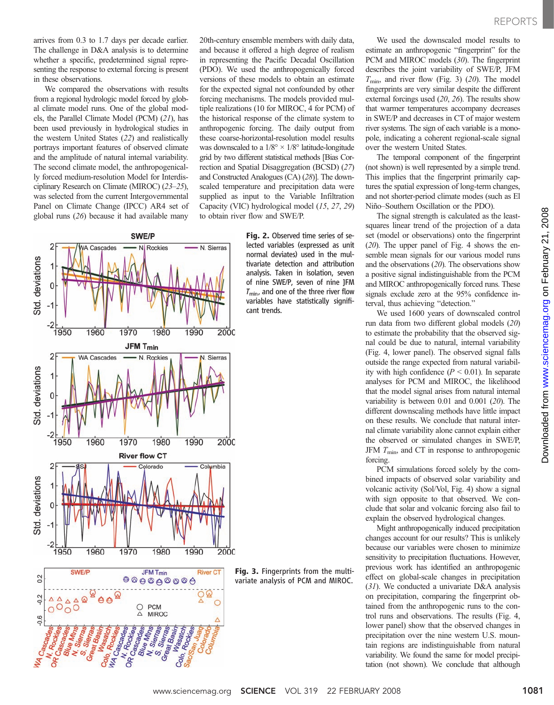arrives from 0.3 to 1.7 days per decade earlier. The challenge in D&A analysis is to determine whether a specific, predetermined signal representing the response to external forcing is present in these observations.

We compared the observations with results from a regional hydrologic model forced by global climate model runs. One of the global models, the Parallel Climate Model (PCM) (21), has been used previously in hydrological studies in the western United States (22) and realistically portrays important features of observed climate and the amplitude of natural internal variability. The second climate model, the anthropogenically forced medium-resolution Model for Interdisciplinary Research on Climate (MIROC) (23–25), was selected from the current Intergovernmental Panel on Climate Change (IPCC) AR4 set of global runs (26) because it had available many





20th-century ensemble members with daily data, and because it offered a high degree of realism in representing the Pacific Decadal Oscillation (PDO). We used the anthropogenically forced versions of these models to obtain an estimate for the expected signal not confounded by other forcing mechanisms. The models provided multiple realizations (10 for MIROC, 4 for PCM) of the historical response of the climate system to anthropogenic forcing. The daily output from these coarse-horizontal-resolution model results was downscaled to a  $1/8^{\circ} \times 1/8^{\circ}$  latitude-longitude grid by two different statistical methods [Bias Correction and Spatial Disaggregation (BCSD) (27) and Constructed Analogues (CA) (28)]. The downscaled temperature and precipitation data were supplied as input to the Variable Infiltration Capacity (VIC) hydrological model (15, 27, 29) to obtain river flow and SWE/P.

> Fig. 2. Observed time series of selected variables (expressed as unit normal deviates) used in the multivariate detection and attribution analysis. Taken in isolation, seven of nine SWE/P, seven of nine JFM  $T_{\text{min}}$ , and one of the three river flow variables have statistically significant trends.

Fig. 3. Fingerprints from the multivariate analysis of PCM and MIROC.

We used the downscaled model results to estimate an anthropogenic "fingerprint" for the PCM and MIROC models (30). The fingerprint describes the joint variability of SWE/P, JFM  $T_{\text{min}}$ , and river flow (Fig. 3) (20). The model fingerprints are very similar despite the different external forcings used (20, 26). The results show that warmer temperatures accompany decreases in SWE/P and decreases in CT of major western river systems. The sign of each variable is a monopole, indicating a coherent regional-scale signal over the western United States.

The temporal component of the fingerprint (not shown) is well represented by a simple trend. This implies that the fingerprint primarily captures the spatial expression of long-term changes, and not shorter-period climate modes (such as El Niño–Southern Oscillation or the PDO).

The signal strength is calculated as the leastsquares linear trend of the projection of a data set (model or observations) onto the fingerprint (20). The upper panel of Fig. 4 shows the ensemble mean signals for our various model runs and the observations (20). The observations show a positive signal indistinguishable from the PCM and MIROC anthropogenically forced runs. These signals exclude zero at the 95% confidence interval, thus achieving "detection."

We used 1600 years of downscaled control run data from two different global models (20) to estimate the probability that the observed signal could be due to natural, internal variability (Fig. 4, lower panel). The observed signal falls outside the range expected from natural variability with high confidence ( $P < 0.01$ ). In separate analyses for PCM and MIROC, the likelihood that the model signal arises from natural internal variability is between 0.01 and 0.001 (20). The different downscaling methods have little impact on these results. We conclude that natural internal climate variability alone cannot explain either the observed or simulated changes in SWE/P, JFM  $T_{\text{min}}$ , and CT in response to anthropogenic forcing.

PCM simulations forced solely by the combined impacts of observed solar variability and volcanic activity (Sol/Vol, Fig. 4) show a signal with sign opposite to that observed. We conclude that solar and volcanic forcing also fail to explain the observed hydrological changes.

Might anthropogenically induced precipitation changes account for our results? This is unlikely because our variables were chosen to minimize sensitivity to precipitation fluctuations. However, previous work has identified an anthropogenic effect on global-scale changes in precipitation (31). We conducted a univariate D&A analysis on precipitation, comparing the fingerprint obtained from the anthropogenic runs to the control runs and observations. The results (Fig. 4, lower panel) show that the observed changes in precipitation over the nine western U.S. mountain regions are indistinguishable from natural variability. We found the same for model precipitation (not shown). We conclude that although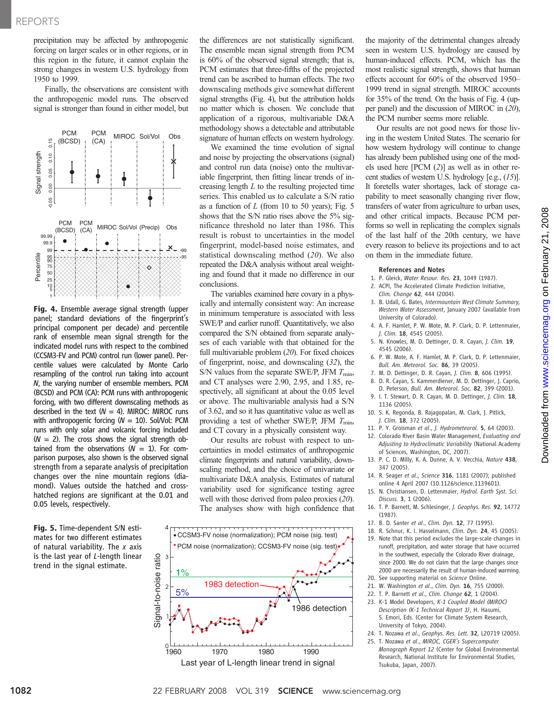precipitation may be affected by anthropogenic forcing on larger scales or in other regions, or in this region in the future, it cannot explain the strong changes in western U.S. hydrology from 1950 to 1999.

Finally, the observations are consistent with the anthropogenic model runs. The observed signal is stronger than found in either model, but



Fig. 4. Ensemble average signal strength (upper panel; standard deviations of the fingerprint's principal component per decade) and percentile rank of ensemble mean signal strength for the indicated model runs with respect to the combined (CCSM3-FV and PCM) control run (lower panel). Percentile values were calculated by Monte Carlo resampling of the control run taking into account N, the varying number of ensemble members. PCM (BCSD) and PCM (CA): PCM runs with anthropogenic forcing, with two different downscaling methods as described in the text  $(W = 4)$ . MIROC: MIROC runs with anthropogenic forcing  $(N = 10)$ . Sol/Vol: PCM runs with only solar and volcanic forcing included  $(N = 2)$ . The cross shows the signal strength obtained from the observations  $(W = 1)$ . For comparison purposes, also shown is the observed signal strength from a separate analysis of precipitation changes over the nine mountain regions (diamond). Values outside the hatched and crosshatched regions are significant at the 0.01 and 0.05 levels, respectively.

Fig. 5. Time-dependent S/N estimates for two different estimates of natural variability. The  $x$  axis is the last year of L-length linear trend in the signal estimate.

the differences are not statistically significant. The ensemble mean signal strength from PCM is 60% of the observed signal strength; that is, PCM estimates that three-fifths of the projected trend can be ascribed to human effects. The two downscaling methods give somewhat different signal strengths (Fig. 4), but the attribution holds no matter which is chosen. We conclude that application of a rigorous, multivariable D&A methodology shows a detectable and attributable signature of human effects on western hydrology.

We examined the time evolution of signal and noise by projecting the observations (signal) and control run data (noise) onto the multivariable fingerprint, then fitting linear trends of increasing length  $L$  to the resulting projected time series. This enabled us to calculate a S/N ratio as a function of  $L$  (from 10 to 50 years); Fig. 5 shows that the S/N ratio rises above the 5% significance threshold no later than 1986. This result is robust to uncertainties in the model fingerprint, model-based noise estimates, and statistical downscaling method (20). We also repeated the D&A analysis without areal weighting and found that it made no difference in our conclusions.

The variables examined here covary in a physically and internally consistent way: An increase in minimum temperature is associated with less SWE/P and earlier runoff. Quantitatively, we also compared the S/N obtained from separate analyses of each variable with that obtained for the full multivariable problem (20). For fixed choices of fingerprint, noise, and downscaling (32), the S/N values from the separate SWE/P, JFM  $T_{\text{min}}$ , and CT analyses were 2.90, 2.95, and 1.85, respectively, all significant at about the 0.05 level or above. The multivariable analysis had a S/N of 3.62, and so it has quantitative value as well as providing a test of whether SWE/P, JFM  $T_{\text{min}}$ , and CT covary in a physically consistent way.

Our results are robust with respect to uncertainties in model estimates of anthropogenic climate fingerprints and natural variability, downscaling method, and the choice of univariate or multivariate D&A analysis. Estimates of natural variability used for significance testing agree well with those derived from paleo proxies (20). The analyses show with high confidence that



the majority of the detrimental changes already seen in western U.S. hydrology are caused by human-induced effects. PCM, which has the most realistic signal strength, shows that human effects account for 60% of the observed 1950– 1999 trend in signal strength. MIROC accounts for 35% of the trend. On the basis of Fig. 4 (upper panel) and the discussion of MIROC in (20), the PCM number seems more reliable.

Our results are not good news for those living in the western United States. The scenario for how western hydrology will continue to change has already been published using one of the models used here [PCM (2)] as well as in other recent studies of western U.S. hydrology [e.g.,  $(15)$ ]. It foretells water shortages, lack of storage capability to meet seasonally changing river flow, transfers of water from agriculture to urban uses, and other critical impacts. Because PCM performs so well in replicating the complex signals of the last half of the 20th century, we have every reason to believe its projections and to act on them in the immediate future.

## References and Notes

- 1. P. Gleick, Water Resour. Res. 23, 1049 (1987).
- 2. ACPI, The Accelerated Climate Prediction Initiative, Clim. Change 62, 444 (2004).
- 3. B. Udall, G. Bates, Intermountain West Climate Summary, Western Water Assessment, January 2007 (available from University of Colorado).
- 4. A. F. Hamlet, P. W. Mote, M. P. Clark, D. P. Lettenmaier, J. Clim. 18, 4545 (2005).
- 5. N. Knowles, M. D. Dettinger, D. R. Cayan, J. Clim. 19, 4545 (2006).
- 6. P. W. Mote, A. F. Hamlet, M. P. Clark, D. P. Lettenmaier, Bull. Am. Meteorol. Soc. 86, 39 (2005).
- 7. M. D. Dettinger, D. R. Cayan, J. Clim. 8, 606 (1995).
- 8. D. R. Cayan, S. Kammerdiener, M. D. Dettinger, J. Caprio,
- D. Peterson, Bull. Am. Meteorol. Soc. 82, 399 (2001). 9. I. T. Stewart, D. R. Cayan, M. D. Dettinger, J. Clim. 18, 1136 (2005).
- 10. S. K. Regonda, B. Rajagopalan, M. Clark, J. Pitlick, J. Clim. 18, 372 (2005).
- 11. P. Y. Groisman et al., J. Hydrometeorol. 5, 64 (2003).
- 12. Colorado River Basin Water Management, Evaluating and Adjusting to Hydroclimatic Variability (National Academy of Sciences, Washington, DC, 2007).
- 13. P. C. D. Milly, K. A. Dunne, A. V. Vecchia, Nature 438, 347 (2005).
- 14. R. Seager et al., Science 316, 1181 (2007); published online 4 April 2007 (10.1126/science.1139601).
- 15. N. Christiansen, D. Lettenmaier, Hydrol. Earth Syst. Sci. Discuss. 3, 1 (2006).
- 16. T. P. Barnett, M. Schlesinger, J. Geophys. Res. 92, 14772 (1987).
- 17. B. D. Santer et al., Clim. Dyn. 12, 77 (1995).
- 18. R. Schnur, K. I. Hasselmann, Clim. Dyn. 24, 45 (2005). 19. Note that this period excludes the large-scale changes in runoff, precipitation, and water storage that have occurred in the southwest, especially the Colorado River drainage, since 2000. We do not claim that the large changes since
- 2000 are necessarily the result of human-induced warming.
- 20. See supporting material on Science Online.
- 21. W. Washington et al., Clim. Dyn. 16, 755 (2000). 22. T. P. Barnett et al., Clim. Change 62, 1 (2004).
- 23. K-1 Model Developers, K-1 Coupled Model (MIROC) Description (K-1 Technical Report 1), H. Hasumi, S. Emori, Eds. (Center for Climate System Research, University of Tokyo, 2004).
- 24. T. Nozawa et al., Geophys. Res. Lett. 32, L20719 (2005).
- 25. T. Nozawa et al., MIROC, CGER's Supercomputer Monograph Report 12 (Center for Global Environmental Research, National Institute for Environmental Studies, Tsukuba, Japan, 2007).